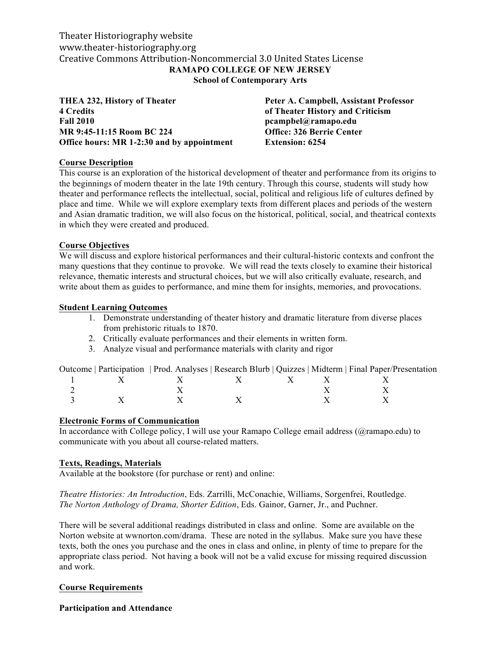# Theater Historiography website www.theater‐historiography.org Creative Commons Attribution‐Noncommercial 3.0 United States License **RAMAPO COLLEGE OF NEW JERSEY School of Contemporary Arts**

**THEA 232, History of Theater Peter A. Campbell, Assistant Professor 4 Credits of Theater History and Criticism Fall 2010 pcampbel@ramapo.edu MR 9:45-11:15 Room BC 224 Office: 326 Berrie Center Office hours: MR 1-2:30 and by appointment Extension: 6254**

### **Course Description**

This course is an exploration of the historical development of theater and performance from its origins to the beginnings of modern theater in the late 19th century. Through this course, students will study how theater and performance reflects the intellectual, social, political and religious life of cultures defined by place and time. While we will explore exemplary texts from different places and periods of the western and Asian dramatic tradition, we will also focus on the historical, political, social, and theatrical contexts in which they were created and produced.

### **Course Objectives**

We will discuss and explore historical performances and their cultural-historic contexts and confront the many questions that they continue to provoke. We will read the texts closely to examine their historical relevance, thematic interests and structural choices, but we will also critically evaluate, research, and write about them as guides to performance, and mine them for insights, memories, and provocations.

### **Student Learning Outcomes**

- 1. Demonstrate understanding of theater history and dramatic literature from diverse places from prehistoric rituals to 1870.
- 2. Critically evaluate performances and their elements in written form.
- 3. Analyze visual and performance materials with clarity and rigor

|                 |                                                                          |  | Outcome   Participation   Prod. Analyses   Research Blurb   Quizzes   Midterm   Final Paper/Presentation |
|-----------------|--------------------------------------------------------------------------|--|----------------------------------------------------------------------------------------------------------|
|                 | $\begin{array}{ccccccccccccc}\n1 & X & X & X & X & X & X \\ \end{array}$ |  |                                                                                                          |
|                 |                                                                          |  |                                                                                                          |
| $\mathcal{X}$ x | $\mathbf x$                                                              |  |                                                                                                          |

### **Electronic Forms of Communication**

In accordance with College policy, I will use your Ramapo College email address (@ramapo.edu) to communicate with you about all course-related matters.

### **Texts, Readings, Materials**

Available at the bookstore (for purchase or rent) and online:

*Theatre Histories: An Introduction*, Eds. Zarrilli, McConachie, Williams, Sorgenfrei, Routledge. *The Norton Anthology of Drama, Shorter Edition*, Eds. Gainor, Garner, Jr., and Puchner.

There will be several additional readings distributed in class and online. Some are available on the Norton website at wwnorton.com/drama. These are noted in the syllabus. Make sure you have these texts, both the ones you purchase and the ones in class and online, in plenty of time to prepare for the appropriate class period. Not having a book will not be a valid excuse for missing required discussion and work.

### **Course Requirements**

**Participation and Attendance**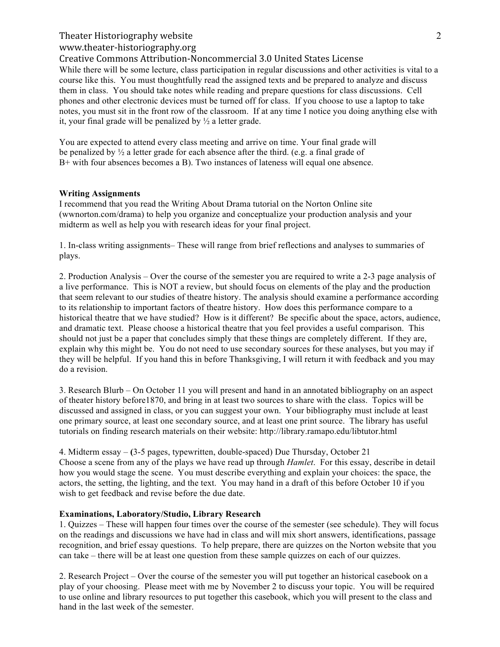# Theater Historiography website

### www.theater‐historiography.org

### Creative Commons Attribution‐Noncommercial 3.0 United States License

While there will be some lecture, class participation in regular discussions and other activities is vital to a course like this. You must thoughtfully read the assigned texts and be prepared to analyze and discuss them in class. You should take notes while reading and prepare questions for class discussions. Cell phones and other electronic devices must be turned off for class. If you choose to use a laptop to take notes, you must sit in the front row of the classroom. If at any time I notice you doing anything else with it, your final grade will be penalized by  $\frac{1}{2}$  a letter grade.

You are expected to attend every class meeting and arrive on time. Your final grade will be penalized by  $\frac{1}{2}$  a letter grade for each absence after the third. (e.g. a final grade of B+ with four absences becomes a B). Two instances of lateness will equal one absence.

#### **Writing Assignments**

I recommend that you read the Writing About Drama tutorial on the Norton Online site (wwnorton.com/drama) to help you organize and conceptualize your production analysis and your midterm as well as help you with research ideas for your final project.

1. In-class writing assignments– These will range from brief reflections and analyses to summaries of plays.

2. Production Analysis – Over the course of the semester you are required to write a 2-3 page analysis of a live performance. This is NOT a review, but should focus on elements of the play and the production that seem relevant to our studies of theatre history. The analysis should examine a performance according to its relationship to important factors of theatre history. How does this performance compare to a historical theatre that we have studied? How is it different? Be specific about the space, actors, audience, and dramatic text. Please choose a historical theatre that you feel provides a useful comparison. This should not just be a paper that concludes simply that these things are completely different. If they are, explain why this might be. You do not need to use secondary sources for these analyses, but you may if they will be helpful. If you hand this in before Thanksgiving, I will return it with feedback and you may do a revision.

3. Research Blurb – On October 11 you will present and hand in an annotated bibliography on an aspect of theater history before1870, and bring in at least two sources to share with the class. Topics will be discussed and assigned in class, or you can suggest your own. Your bibliography must include at least one primary source, at least one secondary source, and at least one print source. The library has useful tutorials on finding research materials on their website: http://library.ramapo.edu/libtutor.html

4. Midterm essay – **(**3-5 pages, typewritten, double-spaced) Due Thursday, October 21 Choose a scene from any of the plays we have read up through *Hamlet*. For this essay, describe in detail how you would stage the scene. You must describe everything and explain your choices: the space, the actors, the setting, the lighting, and the text. You may hand in a draft of this before October 10 if you wish to get feedback and revise before the due date.

### **Examinations, Laboratory/Studio, Library Research**

1. Quizzes – These will happen four times over the course of the semester (see schedule). They will focus on the readings and discussions we have had in class and will mix short answers, identifications, passage recognition, and brief essay questions. To help prepare, there are quizzes on the Norton website that you can take – there will be at least one question from these sample quizzes on each of our quizzes.

2. Research Project – Over the course of the semester you will put together an historical casebook on a play of your choosing. Please meet with me by November 2 to discuss your topic. You will be required to use online and library resources to put together this casebook, which you will present to the class and hand in the last week of the semester.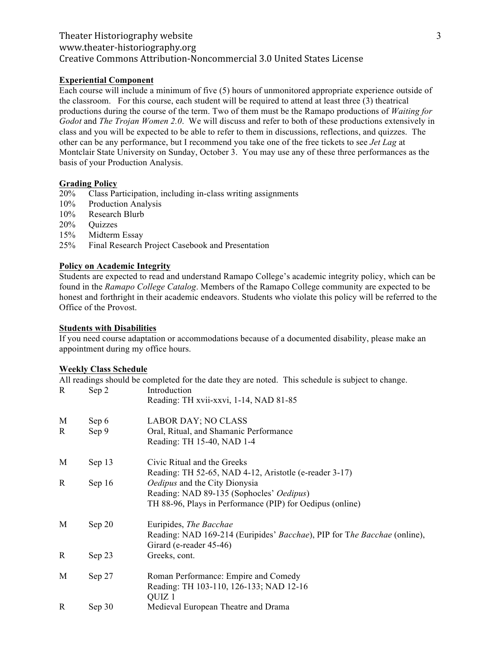# Theater Historiography website www.theater‐historiography.org Creative Commons Attribution‐Noncommercial 3.0 United States License

### **Experiential Component**

Each course will include a minimum of five (5) hours of unmonitored appropriate experience outside of the classroom. For this course, each student will be required to attend at least three (3) theatrical productions during the course of the term. Two of them must be the Ramapo productions of *Waiting for Godot* and *The Trojan Women 2.0*. We will discuss and refer to both of these productions extensively in class and you will be expected to be able to refer to them in discussions, reflections, and quizzes. The other can be any performance, but I recommend you take one of the free tickets to see *Jet Lag* at Montclair State University on Sunday, October 3. You may use any of these three performances as the basis of your Production Analysis.

#### **Grading Policy**

- 20% Class Participation, including in-class writing assignments
- 10% Production Analysis
- 10% Research Blurb
- 20% Quizzes
- 15% Midterm Essay
- 25% Final Research Project Casebook and Presentation

### **Policy on Academic Integrity**

Students are expected to read and understand Ramapo College's academic integrity policy, which can be found in the *Ramapo College Catalog*. Members of the Ramapo College community are expected to be honest and forthright in their academic endeavors. Students who violate this policy will be referred to the Office of the Provost.

### **Students with Disabilities**

If you need course adaptation or accommodations because of a documented disability, please make an appointment during my office hours.

### **Weekly Class Schedule**

R Sep 2 Introduction

All readings should be completed for the date they are noted. This schedule is subject to change.

|        |                | Reading: TH xvii-xxvi, 1-14, NAD 81-85                                                                    |
|--------|----------------|-----------------------------------------------------------------------------------------------------------|
| M<br>R | Sep 6<br>Sep 9 | LABOR DAY; NO CLASS<br>Oral, Ritual, and Shamanic Performance<br>Reading: TH 15-40, NAD 1-4               |
| M      | Sep 13         | Civic Ritual and the Greeks                                                                               |
|        |                | Reading: TH 52-65, NAD 4-12, Aristotle (e-reader 3-17)                                                    |
| R      | Sep 16         | Oedipus and the City Dionysia                                                                             |
|        |                | Reading: NAD 89-135 (Sophocles' Oedipus)                                                                  |
|        |                | TH 88-96, Plays in Performance (PIP) for Oedipus (online)                                                 |
| M      | Sep 20         | Euripides, <i>The Bacchae</i><br>Reading: NAD 169-214 (Euripides' Bacchae), PIP for The Bacchae (online), |
| R      |                | Girard (e-reader 45-46)                                                                                   |
|        | Sep 23         | Greeks, cont.                                                                                             |
| M      | Sep 27         | Roman Performance: Empire and Comedy                                                                      |
|        |                | Reading: TH 103-110, 126-133; NAD 12-16<br>QUIZ <sub>1</sub>                                              |
| R      | Sep 30         | Medieval European Theatre and Drama                                                                       |
|        |                |                                                                                                           |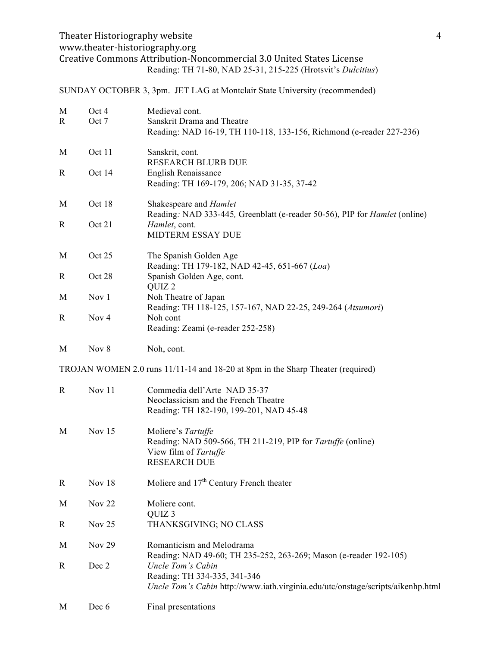# Theater Historiography website www.theater‐historiography.org Creative Commons Attribution‐Noncommercial 3.0 United States License Reading: TH 71-80, NAD 25-31, 215-225 (Hrotsvit's *Dulcitius*)

SUNDAY OCTOBER 3, 3pm. JET LAG at Montclair State University (recommended)

| M<br>R      | Oct 4<br>Oct 7   | Medieval cont.<br>Sanskrit Drama and Theatre<br>Reading: NAD 16-19, TH 110-118, 133-156, Richmond (e-reader 227-236)                 |
|-------------|------------------|--------------------------------------------------------------------------------------------------------------------------------------|
| M           | Oct 11           | Sanskrit, cont.                                                                                                                      |
| R           | Oct 14           | <b>RESEARCH BLURB DUE</b><br><b>English Renaissance</b><br>Reading: TH 169-179, 206; NAD 31-35, 37-42                                |
| M           | Oct 18           | Shakespeare and Hamlet<br>Reading: NAD 333-445, Greenblatt (e-reader 50-56), PIP for <i>Hamlet</i> (online)                          |
| $\mathbf R$ | Oct 21           | Hamlet, cont.<br>MIDTERM ESSAY DUE                                                                                                   |
| M           | Oct 25           | The Spanish Golden Age<br>Reading: TH 179-182, NAD 42-45, 651-667 (Loa)                                                              |
| $\mathbf R$ | Oct 28           | Spanish Golden Age, cont.<br>QUIZ <sub>2</sub>                                                                                       |
| M           | Nov 1            | Noh Theatre of Japan                                                                                                                 |
| $\mathbf R$ | Nov <sub>4</sub> | Reading: TH 118-125, 157-167, NAD 22-25, 249-264 (Atsumori)<br>Noh cont<br>Reading: Zeami (e-reader 252-258)                         |
| M           | Nov 8            | Noh, cont.                                                                                                                           |
|             |                  | TROJAN WOMEN 2.0 runs 11/11-14 and 18-20 at 8pm in the Sharp Theater (required)                                                      |
| $\mathbf R$ | Nov 11           | Commedia dell'Arte NAD 35-37<br>Neoclassicism and the French Theatre<br>Reading: TH 182-190, 199-201, NAD 45-48                      |
| M           | Nov 15           | Moliere's Tartuffe<br>Reading: NAD 509-566, TH 211-219, PIP for Tartuffe (online)<br>View film of Tartuffe<br><b>RESEARCH DUE</b>    |
| $\mathbf R$ | <b>Nov 18</b>    | Moliere and 17 <sup>th</sup> Century French theater                                                                                  |
| M           | <b>Nov 22</b>    | Moliere cont.<br>QUIZ 3                                                                                                              |
| $\mathbf R$ | Nov 25           | THANKSGIVING; NO CLASS                                                                                                               |
| M           | <b>Nov 29</b>    | Romanticism and Melodrama<br>Reading: NAD 49-60; TH 235-252, 263-269; Mason (e-reader 192-105)                                       |
| $\mathbf R$ | Dec 2            | Uncle Tom's Cabin<br>Reading: TH 334-335, 341-346<br>Uncle Tom's Cabin http://www.iath.virginia.edu/utc/onstage/scripts/aikenhp.html |
| M           | Dec 6            | Final presentations                                                                                                                  |